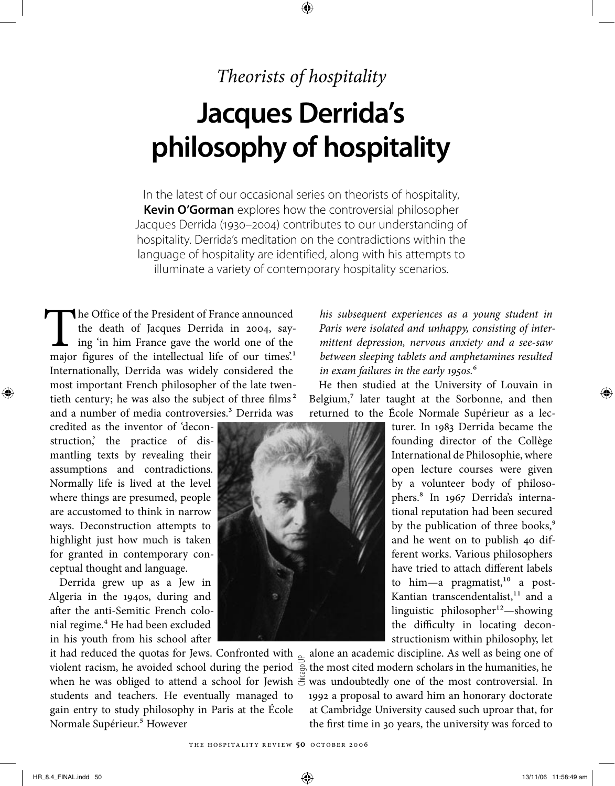## Theorists of hospitality

 $\bigoplus$ 

# **Jacques Derrida's philosophy of hospitality**

In the latest of our occasional series on theorists of hospitality, **Kevin O'Gorman** explores how the controversial philosopher Jacques Derrida (1930–2004) contributes to our understanding of hospitality. Derrida's meditation on the contradictions within the language of hospitality are identified, along with his attempts to illuminate a variety of contemporary hospitality scenarios.

The Office of the President of France announced<br>the death of Jacques Derrida in 2004, say-<br>ing 'in him France gave the world one of the<br>major figures of the intellectual life of our times'.<sup>1</sup> he Office of the President of France announced the death of Jacques Derrida in 2004, saying 'in him France gave the world one of the Internationally, Derrida was widely considered the most important French philosopher of the late twentieth century; he was also the subject of three films<sup>2</sup> and a number of media controversies.<sup>3</sup> Derrida was

credited as the inventor of 'deconstruction,' the practice of dismantling texts by revealing their assumptions and contradictions. Normally life is lived at the level where things are presumed, people are accustomed to think in narrow ways. Deconstruction attempts to highlight just how much is taken for granted in contemporary conceptual thought and language.

Derrida grew up as a Jew in Algeria in the 1940s, during and ater the anti-Semitic French colonial regime.4 He had been excluded in his youth from his school ater

it had reduced the quotas for Jews. Confronted with violent racism, he avoided school during the period  $\frac{8}{5}$  the most cited modern scholars in the humanities, he when he was obliged to attend a school for Jewish  $\frac{8}{5}$  was undoubtedly one of the most controversial. when he was obliged to attend a school for Jewish  $\ddot{\bar{\epsilon}}$ students and teachers. He eventually managed to gain entry to study philosophy in Paris at the École Normale Supérieur.<sup>5</sup> However

his subsequent experiences as a young student in Paris were isolated and unhappy, consisting of intermittent depression, nervous anxiety and a see-saw between sleeping tablets and amphetamines resulted in exam failures in the early 1950s. $<sup>6</sup>$ </sup>

He then studied at the University of Louvain in Belgium,<sup>7</sup> later taught at the Sorbonne, and then returned to the École Normale Supérieur as a lec-

turer. In 1983 Derrida became the founding director of the Collège International de Philosophie, where open lecture courses were given by a volunteer body of philosophers.8 In 1967 Derrida's international reputation had been secured by the publication of three books,<sup>9</sup> and he went on to publish 40 different works. Various philosophers have tried to attach diferent labels to him—a pragmatist, $10$  a post-Kantian transcendentalist,<sup>11</sup> and a linguistic philosopher<sup>12</sup>—showing the difficulty in locating deconstructionism within philosophy, let

alone an academic discipline. As well as being one of was undoubtedly one of the most controversial. In 1992 a proposal to award him an honorary doctorate at Cambridge University caused such uproar that, for the first time in 30 years, the university was forced to

⊕

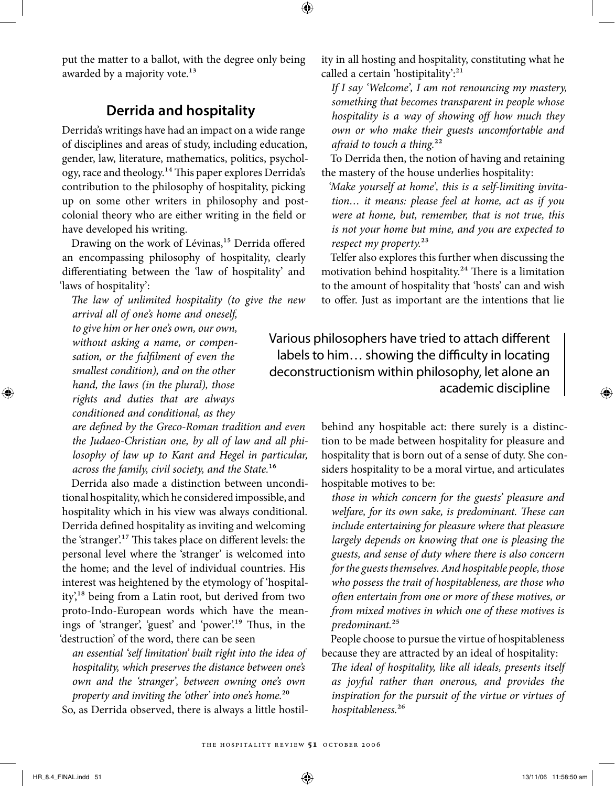put the matter to a ballot, with the degree only being awarded by a majority vote.<sup>13</sup>

 $\bigoplus$ 

#### **Derrida and hospitality**

Derrida's writings have had an impact on a wide range of disciplines and areas of study, including education, gender, law, literature, mathematics, politics, psychology, race and theology.<sup>14</sup> This paper explores Derrida's contribution to the philosophy of hospitality, picking up on some other writers in philosophy and postcolonial theory who are either writing in the field or have developed his writing.

Drawing on the work of Lévinas,<sup>15</sup> Derrida offered an encompassing philosophy of hospitality, clearly diferentiating between the 'law of hospitality' and 'laws of hospitality':

he law of unlimited hospitality (to give the new arrival all of one's home and oneself, to give him or her one's own, our own, without asking a name, or compen-

sation, or the fulfilment of even the smallest condition), and on the other hand, the laws (in the plural), those rights and duties that are always

conditioned and conditional, as they are defined by the Greco-Roman tradition and even the Judaeo-Christian one, by all of law and all philosophy of law up to Kant and Hegel in particular, across the family, civil society, and the State.<sup>16</sup>

Derrida also made a distinction between unconditional hospitality, which he considered impossible, and hospitality which in his view was always conditional. Derrida defined hospitality as inviting and welcoming the 'stranger'.17 his takes place on diferent levels: the personal level where the 'stranger' is welcomed into the home; and the level of individual countries. His interest was heightened by the etymology of 'hospitality',<sup>18</sup> being from a Latin root, but derived from two proto-Indo-European words which have the meanings of 'stranger', 'guest' and 'power'.<sup>19</sup> Thus, in the 'destruction' of the word, there can be seen

an essential 'self limitation' built right into the idea of hospitality, which preserves the distance between one's own and the 'stranger', between owning one's own property and inviting the 'other' into one's home.<sup>20</sup>

So, as Derrida observed, there is always a little hostil-

ity in all hosting and hospitality, constituting what he called a certain 'hostipitality':<sup>21</sup>

If I say 'Welcome', I am not renouncing my mastery, something that becomes transparent in people whose hospitality is a way of showing off how much they own or who make their guests uncomfortable and afraid to touch a thing. $22$ 

To Derrida then, the notion of having and retaining the mastery of the house underlies hospitality:

'Make yourself at home', this is a self-limiting invitation… it means: please feel at home, act as if you were at home, but, remember, that is not true, this is not your home but mine, and you are expected to respect my property.<sup>23</sup>

Telfer also explores this further when discussing the motivation behind hospitality.<sup>24</sup> There is a limitation to the amount of hospitality that 'hosts' can and wish to ofer. Just as important are the intentions that lie

Various philosophers have tried to attach different labels to him... showing the difficulty in locating deconstructionism within philosophy, let alone an academic discipline

> behind any hospitable act: there surely is a distinction to be made between hospitality for pleasure and hospitality that is born out of a sense of duty. She considers hospitality to be a moral virtue, and articulates hospitable motives to be:

those in which concern for the guests' pleasure and welfare, for its own sake, is predominant. These can include entertaining for pleasure where that pleasure largely depends on knowing that one is pleasing the guests, and sense of duty where there is also concern for the guests themselves. And hospitable people, those who possess the trait of hospitableness, are those who often entertain from one or more of these motives, or from mixed motives in which one of these motives is predominant.<sup>25</sup>

People choose to pursue the virtue of hospitableness because they are attracted by an ideal of hospitality:

The ideal of hospitality, like all ideals, presents itself as joyful rather than onerous, and provides the inspiration for the pursuit of the virtue or virtues of hospitableness.<sup>26</sup>

⊕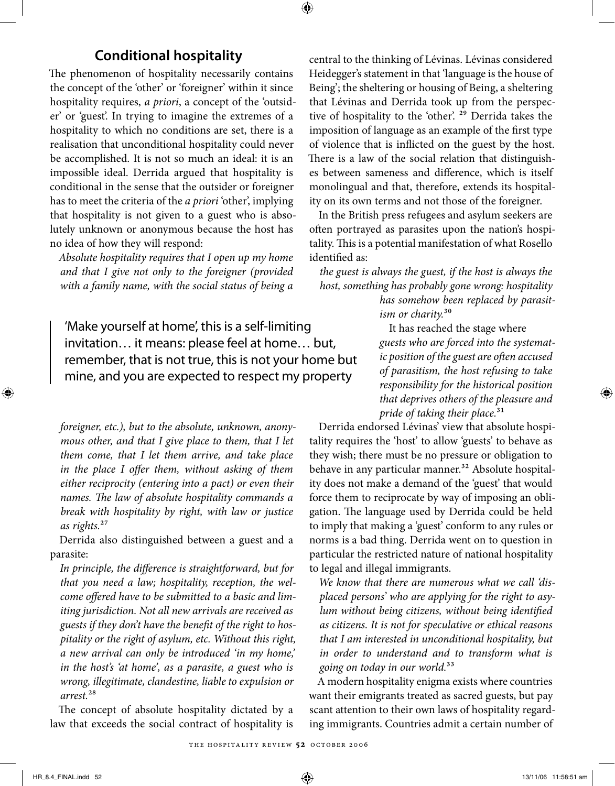$\bigoplus$ 

#### **Conditional hospitality**

he phenomenon of hospitality necessarily contains the concept of the 'other' or 'foreigner' within it since hospitality requires, a priori, a concept of the 'outsider' or 'guest'. In trying to imagine the extremes of a hospitality to which no conditions are set, there is a realisation that unconditional hospitality could never be accomplished. It is not so much an ideal: it is an impossible ideal. Derrida argued that hospitality is conditional in the sense that the outsider or foreigner has to meet the criteria of the *a priori* 'other', implying that hospitality is not given to a guest who is absolutely unknown or anonymous because the host has no idea of how they will respond:

Absolute hospitality requires that I open up my home and that I give not only to the foreigner (provided with a family name, with the social status of being a

'Make yourself at home', this is a self-limiting invitation... it means: please feel at home... but, remember, that is not true, this is not your home but mine, and you are expected to respect my property

foreigner, etc.), but to the absolute, unknown, anonymous other, and that I give place to them, that I let them come, that I let them arrive, and take place in the place I offer them, without asking of them either reciprocity (entering into a pact) or even their names. The law of absolute hospitality commands a break with hospitality by right, with law or justice as rights.27

Derrida also distinguished between a guest and a parasite:

In principle, the diference is straightforward, but for that you need a law; hospitality, reception, the welcome offered have to be submitted to a basic and limiting jurisdiction. Not all new arrivals are received as guests if they don't have the benefit of the right to hospitality or the right of asylum, etc. Without this right, a new arrival can only be introduced 'in my home,' in the host's 'at home', as a parasite, a guest who is wrong, illegitimate, clandestine, liable to expulsion or arrest.28

he concept of absolute hospitality dictated by a law that exceeds the social contract of hospitality is

central to the thinking of Lévinas. Lévinas considered Heidegger's statement in that 'language is the house of Being'; the sheltering or housing of Being, a sheltering that Lévinas and Derrida took up from the perspective of hospitality to the 'other'. <sup>29</sup> Derrida takes the imposition of language as an example of the first type of violence that is inlicted on the guest by the host. here is a law of the social relation that distinguishes between sameness and diference, which is itself monolingual and that, therefore, extends its hospitality on its own terms and not those of the foreigner.

In the British press refugees and asylum seekers are oten portrayed as parasites upon the nation's hospitality. This is a potential manifestation of what Rosello identified as:

the guest is always the guest, if the host is always the host, something has probably gone wrong: hospitality

> has somehow been replaced by parasitism or charity.<sup>30</sup>

> It has reached the stage where guests who are forced into the systematic position of the guest are often accused of parasitism, the host refusing to take responsibility for the historical position that deprives others of the pleasure and pride of taking their place.<sup>31</sup>

Derrida endorsed Lévinas' view that absolute hospitality requires the 'host' to allow 'guests' to behave as they wish; there must be no pressure or obligation to behave in any particular manner.<sup>32</sup> Absolute hospitality does not make a demand of the 'guest' that would force them to reciprocate by way of imposing an obligation. The language used by Derrida could be held to imply that making a 'guest' conform to any rules or norms is a bad thing. Derrida went on to question in particular the restricted nature of national hospitality to legal and illegal immigrants.

We know that there are numerous what we call 'displaced persons' who are applying for the right to asylum without being citizens, without being identified as citizens. It is not for speculative or ethical reasons that I am interested in unconditional hospitality, but in order to understand and to transform what is going on today in our world.<sup>33</sup>

A modern hospitality enigma exists where countries want their emigrants treated as sacred guests, but pay scant attention to their own laws of hospitality regarding immigrants. Countries admit a certain number of

↔

↔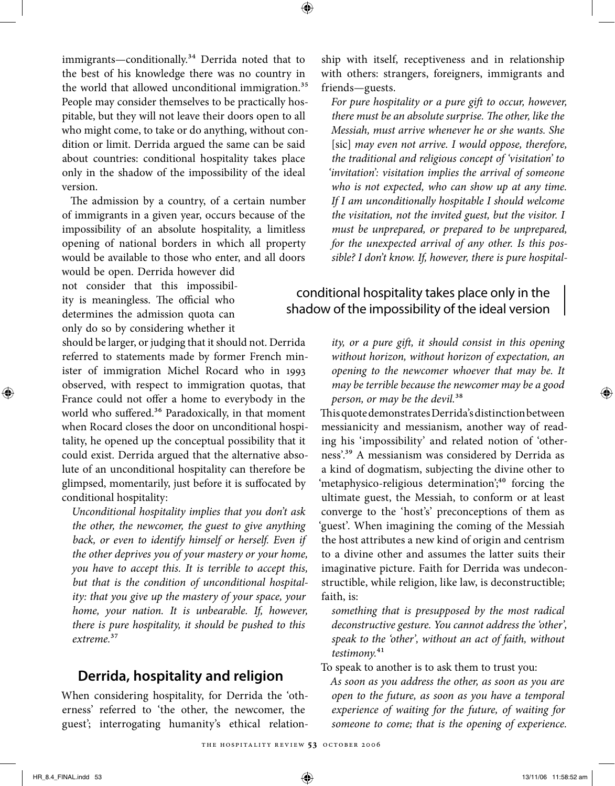immigrants—conditionally.<sup>34</sup> Derrida noted that to the best of his knowledge there was no country in the world that allowed unconditional immigration.<sup>35</sup> People may consider themselves to be practically hospitable, but they will not leave their doors open to all who might come, to take or do anything, without condition or limit. Derrida argued the same can be said about countries: conditional hospitality takes place only in the shadow of the impossibility of the ideal version.

 $\bigoplus$ 

he admission by a country, of a certain number of immigrants in a given year, occurs because of the impossibility of an absolute hospitality, a limitless opening of national borders in which all property would be available to those who enter, and all doors would be open. Derrida however did

not consider that this impossibility is meaningless. The official who determines the admission quota can only do so by considering whether it

should be larger, or judging that it should not. Derrida referred to statements made by former French minister of immigration Michel Rocard who in 1993 observed, with respect to immigration quotas, that France could not offer a home to everybody in the world who suffered.<sup>36</sup> Paradoxically, in that moment when Rocard closes the door on unconditional hospitality, he opened up the conceptual possibility that it could exist. Derrida argued that the alternative absolute of an unconditional hospitality can therefore be glimpsed, momentarily, just before it is sufocated by conditional hospitality:

Unconditional hospitality implies that you don't ask the other, the newcomer, the guest to give anything back, or even to identify himself or herself. Even if the other deprives you of your mastery or your home, you have to accept this. It is terrible to accept this, but that is the condition of unconditional hospitality: that you give up the mastery of your space, your home, your nation. It is unbearable. If, however, there is pure hospitality, it should be pushed to this extreme.<sup>37</sup>

#### **Derrida, hospitality and religion**

When considering hospitality, for Derrida the 'otherness' referred to 'the other, the newcomer, the guest'; interrogating humanity's ethical relationship with itself, receptiveness and in relationship with others: strangers, foreigners, immigrants and friends—guests.

For pure hospitality or a pure gift to occur, however, there must be an absolute surprise. The other, like the Messiah, must arrive whenever he or she wants. She [sic] may even not arrive. I would oppose, therefore, the traditional and religious concept of 'visitation' to 'invitation': visitation implies the arrival of someone who is not expected, who can show up at any time. If I am unconditionally hospitable I should welcome the visitation, not the invited guest, but the visitor. I must be unprepared, or prepared to be unprepared, for the unexpected arrival of any other. Is this possible? I don't know. If, however, there is pure hospital-

#### conditional hospitality takes place only in the shadow of the impossibility of the ideal version

ity, or a pure gift, it should consist in this opening without horizon, without horizon of expectation, an opening to the newcomer whoever that may be. It may be terrible because the newcomer may be a good person, or may be the devil.<sup>38</sup>

his quote demonstrates Derrida's distinction between messianicity and messianism, another way of reading his 'impossibility' and related notion of 'otherness'.39 A messianism was considered by Derrida as a kind of dogmatism, subjecting the divine other to 'metaphysico-religious determination';<sup>40</sup> forcing the ultimate guest, the Messiah, to conform or at least converge to the 'host's' preconceptions of them as 'guest'. When imagining the coming of the Messiah the host attributes a new kind of origin and centrism to a divine other and assumes the latter suits their imaginative picture. Faith for Derrida was undeconstructible, while religion, like law, is deconstructible; faith, is:

something that is presupposed by the most radical deconstructive gesture. You cannot address the 'other', speak to the 'other', without an act of faith, without testimony.<sup>41</sup>

To speak to another is to ask them to trust you:

As soon as you address the other, as soon as you are open to the future, as soon as you have a temporal experience of waiting for the future, of waiting for someone to come; that is the opening of experience.

⊕

↔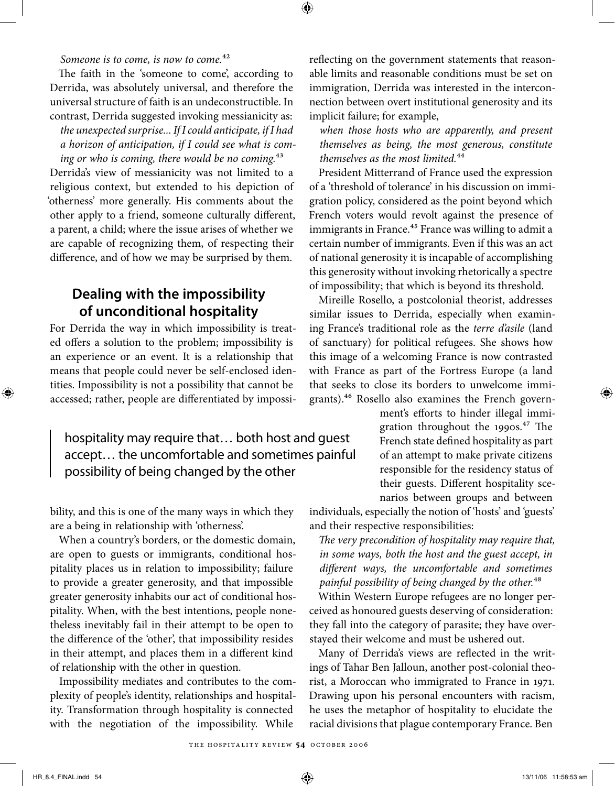Someone is to come, is now to come.<sup>42</sup>

he faith in the 'someone to come', according to Derrida, was absolutely universal, and therefore the universal structure of faith is an undeconstructible. In contrast, Derrida suggested invoking messianicity as:

the unexpected surprise... If I could anticipate, if I had a horizon of anticipation, if I could see what is coming or who is coming, there would be no coming. $43$ 

Derrida's view of messianicity was not limited to a religious context, but extended to his depiction of 'otherness' more generally. His comments about the other apply to a friend, someone culturally diferent, a parent, a child; where the issue arises of whether we are capable of recognizing them, of respecting their diference, and of how we may be surprised by them.

#### **Dealing with the impossibility of unconditional hospitality**

For Derrida the way in which impossibility is treated offers a solution to the problem; impossibility is an experience or an event. It is a relationship that means that people could never be self-enclosed identities. Impossibility is not a possibility that cannot be accessed; rather, people are diferentiated by impossi-

### hospitality may require that... both host and guest accept... the uncomfortable and sometimes painful possibility of being changed by the other

bility, and this is one of the many ways in which they are a being in relationship with 'otherness'.

When a country's borders, or the domestic domain, are open to guests or immigrants, conditional hospitality places us in relation to impossibility; failure to provide a greater generosity, and that impossible greater generosity inhabits our act of conditional hospitality. When, with the best intentions, people nonetheless inevitably fail in their attempt to be open to the diference of the 'other', that impossibility resides in their attempt, and places them in a diferent kind of relationship with the other in question.

Impossibility mediates and contributes to the complexity of people's identity, relationships and hospitality. Transformation through hospitality is connected with the negotiation of the impossibility. While

relecting on the government statements that reasonable limits and reasonable conditions must be set on immigration, Derrida was interested in the interconnection between overt institutional generosity and its implicit failure; for example,

 $\bigoplus$ 

when those hosts who are apparently, and present themselves as being, the most generous, constitute themselves as the most limited.<sup>44</sup>

President Mitterrand of France used the expression of a 'threshold of tolerance' in his discussion on immigration policy, considered as the point beyond which French voters would revolt against the presence of immigrants in France.<sup>45</sup> France was willing to admit a certain number of immigrants. Even if this was an act of national generosity it is incapable of accomplishing this generosity without invoking rhetorically a spectre of impossibility; that which is beyond its threshold.

Mireille Rosello, a postcolonial theorist, addresses similar issues to Derrida, especially when examining France's traditional role as the terre d'asile (land of sanctuary) for political refugees. She shows how this image of a welcoming France is now contrasted with France as part of the Fortress Europe (a land that seeks to close its borders to unwelcome immigrants).46 Rosello also examines the French govern-

> ment's efforts to hinder illegal immigration throughout the 1990s.<sup>47</sup> The French state defined hospitality as part of an attempt to make private citizens responsible for the residency status of their guests. Diferent hospitality scenarios between groups and between

individuals, especially the notion of 'hosts' and 'guests' and their respective responsibilities:

he very precondition of hospitality may require that, in some ways, both the host and the guest accept, in diferent ways, the uncomfortable and sometimes painful possibility of being changed by the other.<sup>48</sup>

Within Western Europe refugees are no longer perceived as honoured guests deserving of consideration: they fall into the category of parasite; they have overstayed their welcome and must be ushered out.

Many of Derrida's views are relected in the writings of Tahar Ben Jalloun, another post-colonial theorist, a Moroccan who immigrated to France in 1971. Drawing upon his personal encounters with racism, he uses the metaphor of hospitality to elucidate the racial divisions that plague contemporary France. Ben

↔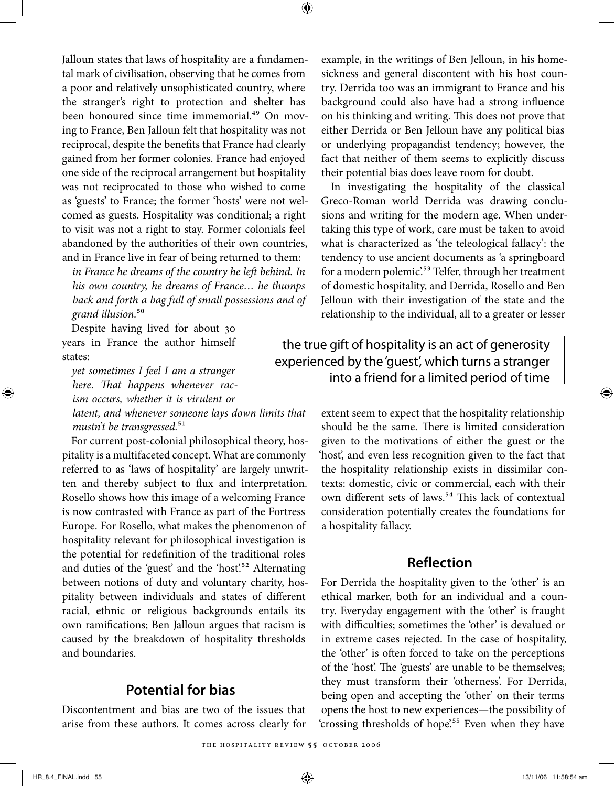$\bigoplus$ 

Jalloun states that laws of hospitality are a fundamental mark of civilisation, observing that he comes from a poor and relatively unsophisticated country, where the stranger's right to protection and shelter has been honoured since time immemorial.<sup>49</sup> On moving to France, Ben Jalloun felt that hospitality was not reciprocal, despite the benefits that France had clearly gained from her former colonies. France had enjoyed one side of the reciprocal arrangement but hospitality was not reciprocated to those who wished to come as 'guests' to France; the former 'hosts' were not welcomed as guests. Hospitality was conditional; a right to visit was not a right to stay. Former colonials feel abandoned by the authorities of their own countries, and in France live in fear of being returned to them:

in France he dreams of the country he left behind. In his own country, he dreams of France… he thumps back and forth a bag full of small possessions and of grand illusion.<sup>50</sup>

Despite having lived for about 30 years in France the author himself states:

yet sometimes I feel I am a stranger here. That happens whenever racism occurs, whether it is virulent or latent, and whenever someone lays down limits that mustn't be transgressed.<sup>51</sup>

For current post-colonial philosophical theory, hospitality is a multifaceted concept. What are commonly referred to as 'laws of hospitality' are largely unwritten and thereby subject to flux and interpretation. Rosello shows how this image of a welcoming France is now contrasted with France as part of the Fortress Europe. For Rosello, what makes the phenomenon of hospitality relevant for philosophical investigation is the potential for redefinition of the traditional roles and duties of the 'guest' and the 'host'.<sup>52</sup> Alternating between notions of duty and voluntary charity, hospitality between individuals and states of diferent racial, ethnic or religious backgrounds entails its own ramifications; Ben Jalloun argues that racism is caused by the breakdown of hospitality thresholds and boundaries.

#### **Potential for bias**

Discontentment and bias are two of the issues that arise from these authors. It comes across clearly for example, in the writings of Ben Jelloun, in his homesickness and general discontent with his host country. Derrida too was an immigrant to France and his background could also have had a strong inluence on his thinking and writing. This does not prove that either Derrida or Ben Jelloun have any political bias or underlying propagandist tendency; however, the fact that neither of them seems to explicitly discuss their potential bias does leave room for doubt.

In investigating the hospitality of the classical Greco-Roman world Derrida was drawing conclusions and writing for the modern age. When undertaking this type of work, care must be taken to avoid what is characterized as 'the teleological fallacy': the tendency to use ancient documents as 'a springboard for a modern polemic'.<sup>53</sup> Telfer, through her treatment of domestic hospitality, and Derrida, Rosello and Ben Jelloun with their investigation of the state and the relationship to the individual, all to a greater or lesser

#### the true gift of hospitality is an act of generosity experienced by the 'quest', which turns a stranger into a friend for a limited period of time

extent seem to expect that the hospitality relationship should be the same. There is limited consideration given to the motivations of either the guest or the 'host', and even less recognition given to the fact that the hospitality relationship exists in dissimilar contexts: domestic, civic or commercial, each with their own different sets of laws.<sup>54</sup> This lack of contextual consideration potentially creates the foundations for a hospitality fallacy.

#### **Reflection**

For Derrida the hospitality given to the 'other' is an ethical marker, both for an individual and a country. Everyday engagement with the 'other' is fraught with difficulties; sometimes the 'other' is devalued or in extreme cases rejected. In the case of hospitality, the 'other' is oten forced to take on the perceptions of the 'host'. The 'guests' are unable to be themselves; they must transform their 'otherness'. For Derrida, being open and accepting the 'other' on their terms opens the host to new experiences—the possibility of 'crossing thresholds of hope'.55 Even when they have

⊕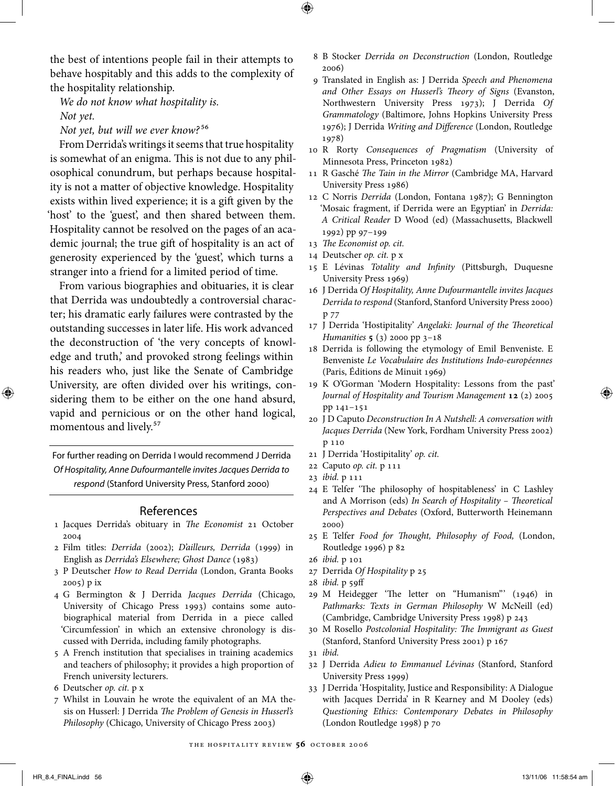the best of intentions people fail in their attempts to behave hospitably and this adds to the complexity of the hospitality relationship.

We do not know what hospitality is.

Not yet.

⊕

Not yet, but will we ever know? 56

From Derrida's writings it seems that true hospitality is somewhat of an enigma. This is not due to any philosophical conundrum, but perhaps because hospitality is not a matter of objective knowledge. Hospitality exists within lived experience; it is a git given by the 'host' to the 'guest', and then shared between them. Hospitality cannot be resolved on the pages of an academic journal; the true git of hospitality is an act of generosity experienced by the 'guest', which turns a stranger into a friend for a limited period of time.

From various biographies and obituaries, it is clear that Derrida was undoubtedly a controversial character; his dramatic early failures were contrasted by the outstanding successes in later life. His work advanced the deconstruction of 'the very concepts of knowledge and truth,' and provoked strong feelings within his readers who, just like the Senate of Cambridge University, are oten divided over his writings, considering them to be either on the one hand absurd, vapid and pernicious or on the other hand logical, momentous and lively.57

For further reading on Derrida I would recommend J Derrida Of Hospitality, Anne Dufourmantelle invites Jacques Derrida to respond (Stanford University Press, Stanford 2000)

#### References

- 1 Jacques Derrida's obituary in The Economist 21 October 2004
- 2 Film titles: Derrida (2002); D'ailleurs, Derrida (1999) in English as Derrida's Elsewhere; Ghost Dance (1983)
- 3 P Deutscher How to Read Derrida (London, Granta Books 2005) p ix
- 4 G Bermington & J Derrida Jacques Derrida (Chicago, University of Chicago Press 1993) contains some autobiographical material from Derrida in a piece called 'Circumfession' in which an extensive chronology is discussed with Derrida, including family photographs.
- 5 A French institution that specialises in training academics and teachers of philosophy; it provides a high proportion of French university lecturers.
- 6 Deutscher op. cit. p x
- 7 Whilst in Louvain he wrote the equivalent of an MA thesis on Husserl: J Derrida The Problem of Genesis in Husserl's Philosophy (Chicago, University of Chicago Press 2003)
- 8 B Stocker Derrida on Deconstruction (London, Routledge 2006)
- 9 Translated in English as: J Derrida Speech and Phenomena and Other Essays on Husserl's Theory of Signs (Evanston, Northwestern University Press 1973); J Derrida Of Grammatology (Baltimore, Johns Hopkins University Press 1976); J Derrida Writing and Difference (London, Routledge 1978)
- 10 R Rorty Consequences of Pragmatism (University of Minnesota Press, Princeton 1982)
- 11 R Gasché The Tain in the Mirror (Cambridge MA, Harvard University Press 1986)
- 12 C Norris Derrida (London, Fontana 1987); G Bennington 'Mosaic fragment, if Derrida were an Egyptian' in Derrida: A Critical Reader D Wood (ed) (Massachusetts, Blackwell 1992) pp 97–199
- 13 The Economist op. cit.

 $\bigoplus$ 

- 14 Deutscher op. cit. p x
- 15 E Lévinas Totality and Infinity (Pittsburgh, Duquesne University Press 1969)
- 16 J Derrida Of Hospitality, Anne Dufourmantelle invites Jacques Derrida to respond (Stanford, Stanford University Press 2000) p 77
- 17 J Derrida 'Hostipitality' Angelaki: Journal of the Theoretical Humanities **5** (3) 2000 pp 3–18
- 18 Derrida is following the etymology of Emil Benveniste. E Benveniste Le Vocabulaire des Institutions Indo-européennes (Paris, Éditions de Minuit 1969)
- 19 K O'Gorman 'Modern Hospitality: Lessons from the past' Journal of Hospitality and Tourism Management **12** (2) 2005 pp 141–151
- 20 J D Caputo Deconstruction In A Nutshell: A conversation with Jacques Derrida (New York, Fordham University Press 2002) p 110
- 21 J Derrida 'Hostipitality' op. cit.
- 22 Caputo op. cit. p 111
- 23 ibid. p 111
- 24 E Telfer 'The philosophy of hospitableness' in C Lashley and A Morrison (eds) In Search of Hospitality - Theoretical Perspectives and Debates (Oxford, Butterworth Heinemann 2000)
- 25 E Telfer Food for Thought, Philosophy of Food, (London, Routledge 1996) p 82
- 26 ibid. p 101
- 27 Derrida Of Hospitality p 25
- 28 ibid. p 59f
- 29 M Heidegger 'The letter on "Humanism" (1946) in Pathmarks: Texts in German Philosophy W McNeill (ed) (Cambridge, Cambridge University Press 1998) p 243
- 30 M Rosello Postcolonial Hospitality: The Immigrant as Guest (Stanford, Stanford University Press 2001) p 167
- 31 ibid.
- 32 J Derrida Adieu to Emmanuel Lévinas (Stanford, Stanford University Press 1999)
- 33 J Derrida 'Hospitality, Justice and Responsibility: A Dialogue with Jacques Derrida' in R Kearney and M Dooley (eds) Questioning Ethics: Contemporary Debates in Philosophy (London Routledge 1998) p 70